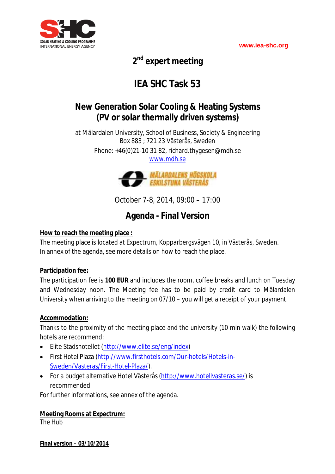

**2 nd expert meeting**

# **IEA SHC Task 53**

# **New Generation Solar Cooling & Heating Systems (PV or solar thermally driven systems)**

at Mälardalen University, School of Business, Society & Engineering Box 883 ; 721 23 Västerås, Sweden Phone: +46(0)21-10 31 82, richard.thygesen@mdh.se www.mdh.se



October 7-8, 2014, 09:00 – 17:00

# **Agenda - Final Version**

### **How to reach the meeting place :**

The meeting place is located at Expectrum, Kopparbergsvägen 10, in Västerås, Sweden. In annex of the agenda, see more details on how to reach the place.

### **Participation fee:**

The participation fee is **100 EUR** and includes the room, coffee breaks and lunch on Tuesday and Wednesday noon. The Meeting fee has to be paid by credit card to Mälardalen University when arriving to the meeting on 07/10 – you will get a receipt of your payment.

### **Accommodation:**

Thanks to the proximity of the meeting place and the university (10 min walk) the following hotels are recommend:

- Elite Stadshotellet (http://www.elite.se/eng/index)
- First Hotel Plaza (http://www.firsthotels.com/Our-hotels/Hotels-in-Sweden/Vasteras/First-Hotel-Plaza/).
- For a budget alternative Hotel Västerås (http://www.hotellvasteras.se/) is recommended.

For further informations, see annex of the agenda.

### **Meeting Rooms at Expectrum:**

The Hub

**Final version – 03/10/2014**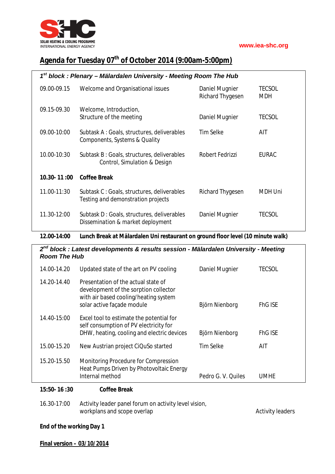

## **Agenda for Tuesday 07th of October 2014 (9:00am-5:00pm)**

| $1st$ block : Plenary – Mälardalen University - Meeting Room The Hub |                                                                                  |                                           |                      |
|----------------------------------------------------------------------|----------------------------------------------------------------------------------|-------------------------------------------|----------------------|
| 09.00-09.15                                                          | Welcome and Organisational issues                                                | Daniel Mugnier<br><b>Richard Thygesen</b> | <b>TECSOL</b><br>MDH |
| 09.15-09.30                                                          | Welcome, Introduction,<br>Structure of the meeting                               | Daniel Mugnier                            | TECSOL               |
| 09.00-10:00                                                          | Subtask A: Goals, structures, deliverables<br>Components, Systems & Quality      | Tim Selke                                 | AIT                  |
| 10.00-10:30                                                          | Subtask B: Goals, structures, deliverables<br>Control, Simulation & Design       | Robert Fedrizzi                           | <b>EURAC</b>         |
| $10.30 - 11:00$                                                      | <b>Coffee Break</b>                                                              |                                           |                      |
| 11.00-11:30                                                          | Subtask C: Goals, structures, deliverables<br>Testing and demonstration projects | <b>Richard Thygesen</b>                   | MDH Uni              |
| 11.30-12:00                                                          | Subtask D: Goals, structures, deliverables<br>Dissemination & market deployment  | Daniel Mugnier                            | TECSOL               |

**12.00-14:00 Lunch Break at Mälardalen Uni restaurant on ground floor level (10 minute walk)**

| 2 <sup>nd</sup> block : Latest developments & results session - Mälardalen University - Meeting<br><b>Room The Hub</b> |                                                                                                                                                     |                    |                |
|------------------------------------------------------------------------------------------------------------------------|-----------------------------------------------------------------------------------------------------------------------------------------------------|--------------------|----------------|
| 14.00-14.20                                                                                                            | Updated state of the art on PV cooling                                                                                                              | Daniel Mugnier     | TECSOL         |
| 14.20-14.40                                                                                                            | Presentation of the actual state of<br>development of the sorption collector<br>with air based cooling/heating system<br>solar active façade module | Björn Nienborg     | <b>FhG ISE</b> |
| 14.40-15:00                                                                                                            | Excel tool to estimate the potential for<br>self consumption of PV electricity for<br>DHW, heating, cooling and electric devices                    | Björn Nienborg     | <b>FhG ISE</b> |
| 15.00-15.20                                                                                                            | New Austrian project CiQuSo started                                                                                                                 | Tim Selke          | AIT            |
| 15.20-15.50                                                                                                            | Monitoring Procedure for Compression<br>Heat Pumps Driven by Photovoltaic Energy<br>Internal method                                                 | Pedro G. V. Quiles | <b>UMHE</b>    |

### **15:50- 16 :30 Coffee Break**

| 16.30-17:00 | Activity leader panel forum on activity level vision, |                  |
|-------------|-------------------------------------------------------|------------------|
|             | workplans and scope overlap                           | Activity leaders |

### **End of the working Day 1**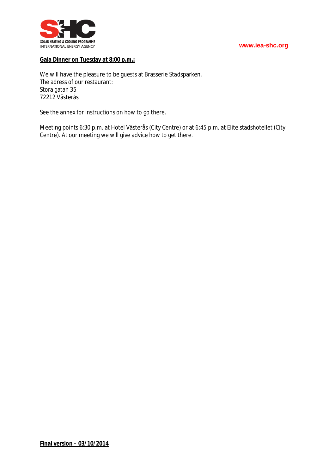



### **Gala Dinner on Tuesday at 8:00 p.m.:**

We will have the pleasure to be guests at Brasserie Stadsparken. The adress of our restaurant: Stora gatan 35 72212 Västerås

See the annex for instructions on how to go there.

Meeting points 6:30 p.m. at Hotel Västerås (City Centre) or at 6:45 p.m. at Elite stadshotellet (City Centre). At our meeting we will give advice how to get there.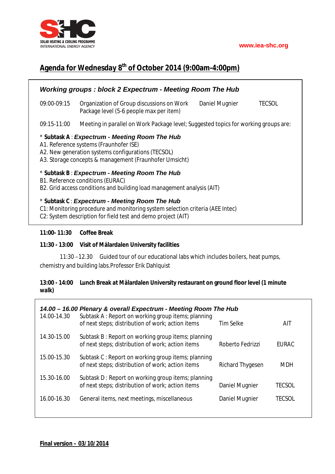

### **Agenda for Wednesday 8 th of October 2014 (9:00am-4:00pm)**

| <b>Working groups: block 2 Expectrum - Meeting Room The Hub</b>                                                                                                                                         |                                                                                                                         |  |  |
|---------------------------------------------------------------------------------------------------------------------------------------------------------------------------------------------------------|-------------------------------------------------------------------------------------------------------------------------|--|--|
| 09:00-09:15                                                                                                                                                                                             | Organization of Group discussions on Work<br>Daniel Mugnier<br><b>TECSOL</b><br>Package level (5-6 people max per item) |  |  |
| 09:15-11:00                                                                                                                                                                                             | Meeting in parallel on Work Package level; Suggested topics for working groups are:                                     |  |  |
| * Subtask A: Expectrum - Meeting Room The Hub<br>A1. Reference systems (Fraunhofer ISE)<br>A2. New generation systems configurations (TECSOL)<br>A3. Storage concepts & management (Fraunhofer Umsicht) |                                                                                                                         |  |  |
| * Subtask B: Expectrum - Meeting Room The Hub<br>B1. Reference conditions (EURAC)<br>B2. Grid access conditions and building load management analysis (AIT)                                             |                                                                                                                         |  |  |
| * Subtask C: Expectrum - Meeting Room The Hub<br>C1: Monitoring procedure and monitoring system selection criteria (AEE Intec)<br>C2: System description for field test and demo project (AIT)          |                                                                                                                         |  |  |

### **11:00- 11:30 Coffee Break**

### **11:30 - 13:00 Visit of Mälardalen University facilities**

11:30 –12.30 Guided tour of our educational labs which includes boilers, heat pumps, chemistry and building labs.Professor Erik Dahlquist

### **13:00 - 14:00 Lunch Break at Mälardalen University restaurant on ground floor level (1 minute walk)**

| 14.00 - 16.00 Plenary & overall Expectrum - Meeting Room The Hub<br>14.00-14.30                         |                                                    |              |  |
|---------------------------------------------------------------------------------------------------------|----------------------------------------------------|--------------|--|
| of next steps; distribution of work; action items                                                       | Tim Selke                                          | AIT          |  |
| Subtask B: Report on working group items; planning<br>of next steps; distribution of work; action items | Roberto Fedrizzi                                   | <b>FURAC</b> |  |
| Subtask C: Report on working group items; planning<br>of next steps; distribution of work; action items | <b>Richard Thygesen</b>                            | <b>MDH</b>   |  |
| Subtask D: Report on working group items; planning<br>of next steps; distribution of work; action items | <b>Daniel Mugnier</b>                              | TECSOL       |  |
| General items, next meetings, miscellaneous                                                             | Daniel Mugnier                                     | TECSOL       |  |
|                                                                                                         | Subtask A: Report on working group items; planning |              |  |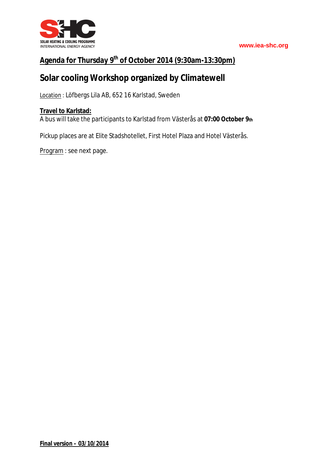

### **Agenda for Thursday 9th of October 2014 (9:30am-13:30pm)**

## **Solar cooling Workshop organized by Climatewell**

Location : Löfbergs Lila AB, 652 16 Karlstad, Sweden

### **Travel to Karlstad:**

A bus will take the participants to Karlstad from Västerås at **07:00 October 9th**

Pickup places are at Elite Stadshotellet, First Hotel Plaza and Hotel Västerås.

Program : see next page.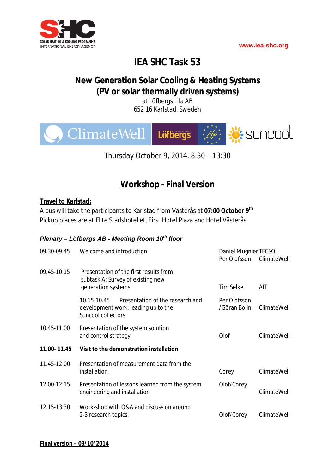

# **IEA SHC Task 53**

# **New Generation Solar Cooling & Heating Systems (PV or solar thermally driven systems)**

at Löfbergs Lila AB 652 16 Karlstad, Sweden



Thursday October 9, 2014, 8:30 – 13:30

# **Workshop - Final Version**

### **Travel to Karlstad:**

A bus will take the participants to Karlstad from Västerås at **07:00 October 9th** Pickup places are at Elite Stadshotellet, First Hotel Plaza and Hotel Västerås.

### *Plenary – Löfbergs AB - Meeting Room 10th floor*

| 09.30-09.45 | Welcome and introduction                                                                                     | Daniel Mugnier TECSOL<br>Per Olofsson | ClimateWell |
|-------------|--------------------------------------------------------------------------------------------------------------|---------------------------------------|-------------|
| 09.45-10.15 | Presentation of the first results from<br>subtask A: Survey of existing new<br>generation systems            | <b>Tim Selke</b>                      | AIT         |
|             | 10.15-10.45<br>Presentation of the research and<br>development work, leading up to the<br>Suncool collectors | Per Olofsson<br>/Göran Bolin          | ClimateWell |
| 10.45-11.00 | Presentation of the system solution<br>and control strategy                                                  | Olof                                  | ClimateWell |
| 11.00-11.45 | Visit to the demonstration installation                                                                      |                                       |             |
| 11.45-12:00 | Presentation of measurement data from the<br>installation                                                    | Corey                                 | ClimateWell |
| 12.00-12:15 | Presentation of lessons learned from the system<br>engineering and installation                              | Olof/Corey                            | ClimateWell |
| 12.15-13:30 | Work-shop with Q&A and discussion around<br>2-3 research topics.                                             | Olof/Corey                            | ClimateWell |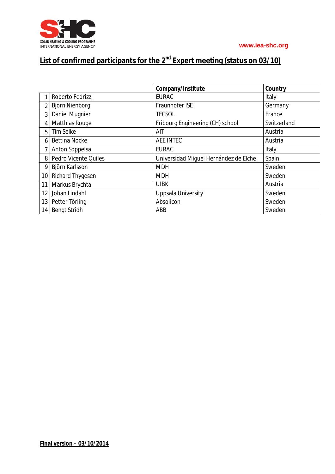

# **List of confirmed participants for the 2nd Expert meeting (status on 03/10)**

|                 |                      | Company/Institute                     | Country     |
|-----------------|----------------------|---------------------------------------|-------------|
|                 | Roberto Fedrizzi     | <b>EURAC</b>                          | Italy       |
| $\overline{2}$  | Björn Nienborg       | Fraunhofer ISE                        | Germany     |
| 3 <sup>1</sup>  | Daniel Mugnier       | <b>TECSOL</b>                         | France      |
| 4'              | Matthias Rouge       | Fribourg Engineering (CH) school      | Switzerland |
| 5               | Tim Selke            | AIT                                   | Austria     |
| 6               | <b>Bettina Nocke</b> | <b>AEE INTEC</b>                      | Austria     |
|                 | Anton Soppelsa       | <b>EURAC</b>                          | Italy       |
| 8 <sup>1</sup>  | Pedro Vicente Quiles | Universidad Miquel Hernández de Elche | Spain       |
| 9               | Björn Karlsson       | <b>MDH</b>                            | Sweden      |
|                 | 10 Richard Thygesen  | <b>MDH</b>                            | Sweden      |
| 11 <sup>1</sup> | Markus Brychta       | <b>UIBK</b>                           | Austria     |
| 12 <sup>2</sup> | Johan Lindahl        | <b>Uppsala University</b>             | Sweden      |
| 13              | Petter Törling       | Absolicon                             | Sweden      |
| 14              | <b>Bengt Stridh</b>  | ABB                                   | Sweden      |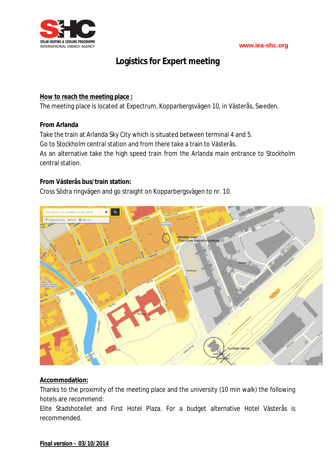

### **Logistics for Expert meeting**

### **How to reach the meeting place :**

The meeting place is located at Expectrum, Kopparbergsvägen 10, in Västerås, Sweden.

### **From Arlanda**

Take the train at Arlanda Sky City which is situated between terminal 4 and 5. Go to Stockholm central station and from there take a train to Västerås. As an alternative take the high speed train from the Arlanda main entrance to Stockholm central station.

### **From Västerås bus/train station:**

Cross Södra ringvägen and go straight on Kopparbergsvägen to nr. 10.



### **Accommodation:**

Thanks to the proximity of the meeting place and the university (10 min walk) the following hotels are recommend:

Elite Stadshotellet and First Hotel Plaza. For a budget alternative Hotel Västerås is recommended.